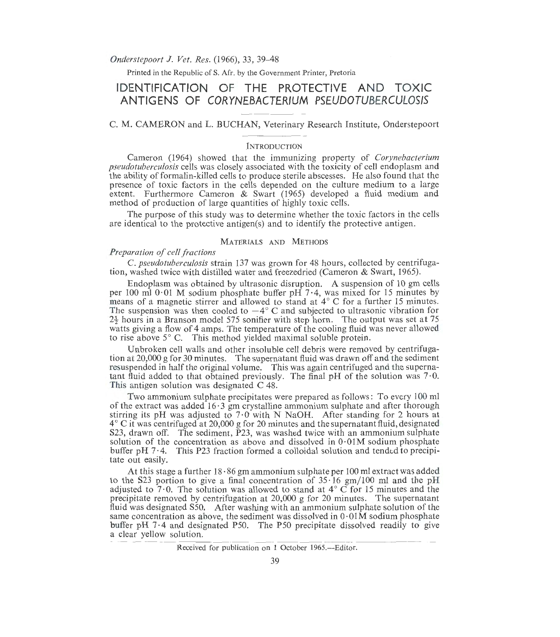*Onderstepoort* J. *Vet. Res.* (1966), 33, 39-48

Printed in the Republic of S. Afr. by the Government Printer, Pretoria

# **IDENTIFICATION OF THE PROTECTIVE AND TOXIC ANTIGENS OF CORYNEBACTERIUM PSEUDOTUBERCULOSIS**

# C. M. CAMERON and L. BUCHAN, Veterinary Research Institute, Onderstepoort

# **INTRODUCTION**

Cameron (1964) showed that the immunizing property of *Corynebacterium pseudotuberculosis* cells was closely associated with the toxicity of cell endoplasm and the ability of formalin-killed cells to produce sterile abscesses. He also found that the presence of toxic factors in the cells depended on the culture medium to a large extent. Furthermore Cameron & Swart (1965) developed a fluid medium and method of production of large quantities of highly toxic cells.

The purpose of this study was to determine whether the toxic factors in the cells are identical to the protective antigen(s) and to identify the protective antigen.

## MATERIALS AND METHODS

## *Preparation of cell fractions*

C. *pseudotuberculosis* strain 137 was grown for 48 hours, collected by centrifugation, washed twice with distilled water and freezedried (Cameron & Swart, 1965).

Endoplasm was obtained by ultrasonic disruption. A suspension of 10 gm cells per 100 ml 0 01 M sodium phosphate buffer pH  $7 \cdot 4$ , was mixed for 15 minutes by means of a magnetic stirrer and allowed to stand at  $4^\circ$  C for a further 15 minutes. The suspension was then cooled to  $-4^{\circ}$  C and subjected to ultrasonic vibration for  $2\frac{7}{2}$  hours in a Branson model 575 sonifier with step horn. The output was set at 75 watts giving a flow of 4 amps. The temperature of the cooling fluid was never allowed to rise above 5° C. This method yielded maximal soluble protein.

Unbroken cell walls and other insoluble cell debris were removed by centrifugation at 20,000 g for 30 minutes. The supernatant fluid was drawn off and the sediment resuspended in half the original volume. This was again centrifuged and the supernatant fluid added to that obtained previously. The final pH of the solution was 7 · 0. This antigen solution was designated C 48.

Two ammonium sulphate precipitates were prepared as follows: To every 100 ml of the extract was added  $16.3$  gm crystalline ammonium sulphate and after thorough stirring its pH was adjusted to 7.0 with N NaOH. After standing for 2 hours at  $4^{\circ}$  C it was centrifuged at 20,000 g for 20 minutes and the supernatant fluid, designated S23, drawn off. The sediment, P23, was washed twice with an ammonium sulphate solution of the concentration as above and dissolved in O·OlM sodium phosphate buffer pH 7.4. This P23 fraction formed a colloidal solution and tended to precipitate out easily.

At this stage a further  $18.86$  gm ammonium sulphate per 100 ml extract was added to the S23 portion to give a final concentration of  $35 \cdot 16$  gm/100 ml and the pH adjusted to  $7.0$ . The solution was allowed to stand at  $4^{\circ}$  C for 15 minutes and the precipitate removed by centrifugation at 20,000 g for 20 minutes. The supernatant fluid was designated S50. After washing with an ammonium sulphate solution of the same concentration as above, the sediment was dissolved in  $0.01M$  some unphosphate buffer pH 7.4 and designated P50. The P50 precipitate dissolved readily to give a clear yellow solution.

#### Received for publication on 1 October 1965.—Editor.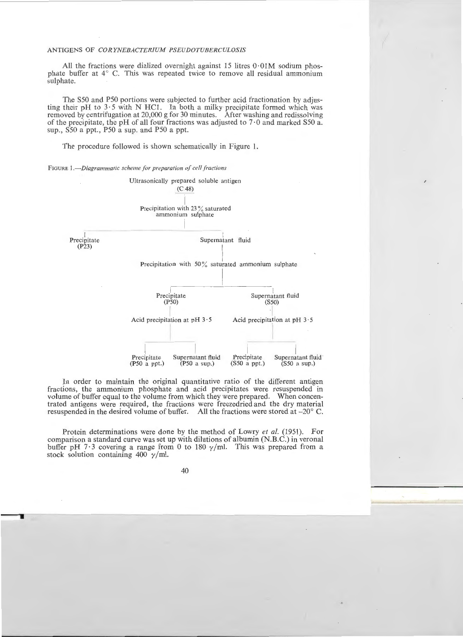All the fractions were dialized overnight against 15 litres  $0.01M$  sodium phosphate buffer at  $4^{\circ}$  C. This was repeated twice to remove all residual ammonium sulphate.

The S50 and P50 portions were subjected to further acid fractionation by adjusting their pH to  $3.5$  with N HCl. In both a milky precipitate formed which was removed by centrifugation at 20,000 g for 30 minutes. After washing and redissolving of the precipitate, the pH of all four fractions was adjusted to  $7.0$  and marked S50 a. sup., S50 a ppt., P50 a sup. and P50 a ppt.

The procedure followed is shown schematically in Figure 1.

FIGURE J *.-Diagrammatic scheme for preparation of cell Factions* 



In order to maintain the original quantitative ratio of the different antigen fractions, the ammonium phosphate and acid precipitates were resuspended in volume of buffer equal to the volume from which they were prepared. When concentrated antigens were required, the fractions were freezedried and the dry material resuspended in the desired volume of buffer. All the fractions were stored at -20° C.

Protein determinations were done by the method of Lowry *et al.* (1951). For comparison a standard curve was set up with dilutions of albumin (N.B.C.) in veronal buffer pH 7.3 covering a range from 0 to 180  $\gamma$ /ml. This was prepared from a stock solution containing 400  $\nu$ /ml.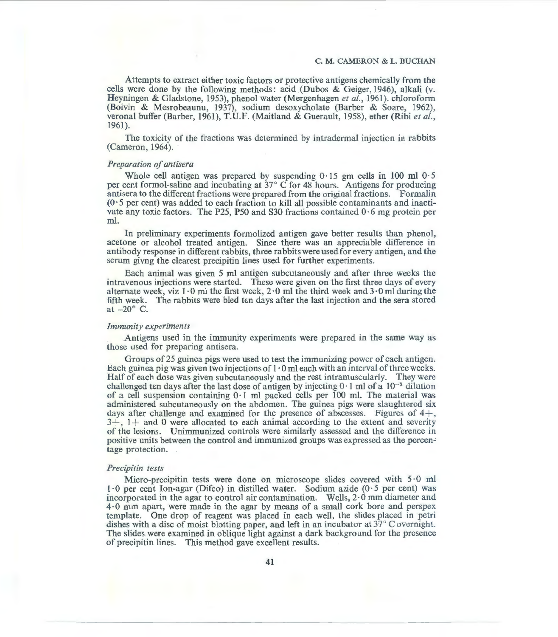#### C. M. CAMERON & L. BUCHAN

Attempts to extract either toxic factors or protective antigens chemically from the cells were done by the following methods: acid (Dubos & Geiger, 1946), alkali (v. Heyningen & Gladstone, 1953), phenol water (Mergenhagen *et al.,* 1961). chloroform (Boivin & Mesrobeaunu, 1937), sodium desoxycholate (Barber & Soare, 1962), verona! buffer (Barber, 1961), T.U.F. (Maitland & Guerault, 1958), ether (Ribi *eta!.,*  1961).

The toxicity of the fractions was determined by intradermal injection in rabbits (Cameron, 1964).

## *Preparation of antisera*

Whole cell antigen was prepared by suspending  $0.15$  gm cells in 100 ml  $0.5$ per cent formol-saline and incubating at 37° C for 48 hours. Antigens for producing antisera to the different fractions were prepared from the original fractions. Formalin  $(0.5$  per cent) was added to each fraction to kill all possible contaminants and inactivate any toxic factors. The P25, P50 and S30 fractions contained  $0.6$  mg protein per ml.

In preliminary experiments formolized antigen gave better results than phenol, acetone or alcohol treated antigen. Since there was an appreciable difference in antibody response in different rabbits, three rabbits were used for every antigen, and the serum givng the clearest precipitin lines used for further experiments.

Each animal was given 5 ml antigen subcutaneously and after three weeks the intravenous injections were started. These were given on the first three days of every alternate week, viz  $1 \cdot 0$  ml the first week,  $2 \cdot 0$  ml the third week and  $3 \cdot 0$  ml during the fifth week. The rabbits were bled ten days after the last injection and the sera stored at  $-20^\circ$  C.

#### *Immunity experiments*

Antigens used in the immunity experiments were prepared in the same way as those used for preparing antisera.

Groups of 25 guinea pigs were used to test the immunizing power of each antigen. Each guinea pig was given two injections of  $1 \cdot 0$  ml each with an interval of three weeks. Half of each dose was given subcutaneously and the rest intramuscularly. They were challenged ten days after the last dose of antigen by injecting  $0 \cdot 1$  ml of a  $10^{-3}$  dilution of a cell suspension containing 0·1 ml packed cells per 100 ml. The material was administered subcutaneously on the abdomen. The guinea pigs were slaughtered six days after challenge and examined for the presence of abscesses. Figures of  $4+$ ,  $3+$ ,  $1+$  and 0 were allocated to each animal according to the extent and severity of the lesions. Unimmunized controls were similarly assessed and the difference in positive units between the control and immunized groups was expressed as the percen-' tage protection.

#### *Precipitin tests*

Micro-precipitin tests were done on microscope slides covered with 5 · 0 ml 1· 0 per cent Ion-agar (Difco) in distilled water. Sodium azide (0 · 5 per cent) was incorporated in the agar to control air contamination. Wells,  $2 \cdot 0$  mm diameter and 4 · 0 mm apart, were made in the agar by means of a small cork bore and perspex template. One drop of reagent was placed in each well, the slides placed in petri dishes with a disc of moist blotting paper, and left in an incubator at  $37^{\circ}$ C overnight. The slides. were examined in oblique light against a dark background for the presence of precipitin lines. This method gave excellent results.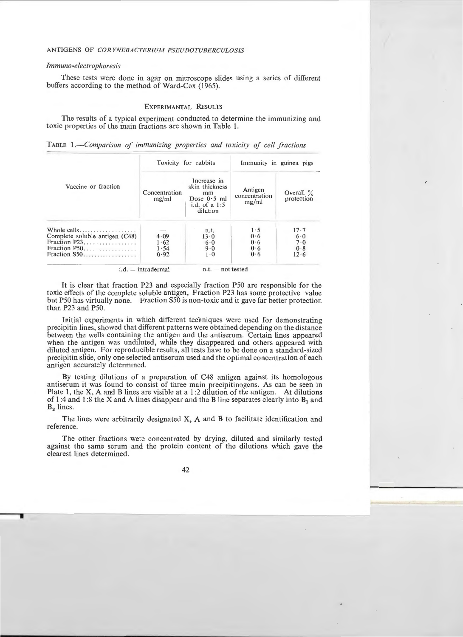#### *Immuno-electrophoresis*

These tests were done in agar on microscope slides using a series of different buffers according to the method of Ward-Cox (1965).

# EXPERIMANTAL RESULTS

The results of a typical experiment conducted to determine the immunizing and toxic properties of the main fractions are shown in Table I.

| Vaccine or fraction                                                                               | Toxicity for rabbits         |                                                                                     | Immunity in guinea pigs           |                                       |
|---------------------------------------------------------------------------------------------------|------------------------------|-------------------------------------------------------------------------------------|-----------------------------------|---------------------------------------|
|                                                                                                   | Concentration<br>mg/ml       | Increase in<br>skin thickness<br>mm<br>Dose $0.5$ ml<br>i.d. of a $1:5$<br>dilution | Antigen<br>concentration<br>mg/ml | Overall $\%$<br>protection            |
| Whole cells<br>Complete soluble antigen (C48)<br>Fraction P23.<br>Fraction P50.<br>Fraction $S50$ | 4.09<br>1.62<br>1.54<br>0.92 | n.t.<br>13.0<br>6.0<br>9.0<br>$1 \cdot 0$                                           | 1.5<br>0.6<br>0.6<br>0.6<br>0.6   | $17 - 7$<br>6.0<br>7.0<br>0.8<br>12.6 |

TABLE *!.-Comparison of immunizing properties and toxicity of cell fractions* 

 $i.d. = intradermal$  n.t.  $= not tested$ 

It is clear that fraction P23 and especially fraction P50 are responsible for the toxic effects of the complete soluble antigen, Fraction P23 has some protective value but P50 has virtually none. Fraction S50 is non-toxic and it gave far better protection than P23 and P50.

Initial experiments in which different techniques were used for demonstrating precipitin lines, showed that different patterns were obtained depending on the distance between the wells containing the antigen and the antiserum. Certain lines appeared when the antigen was undiluted, while they disappeared and others appeared with diluted antigen. For reproducible results, all tests have to be done on a standard-sized precipitin slide, only one selected antiserum used and the optimal concentration of each antigen accurately determined.

By testing dilutions of a preparation of C48 antigen against its homologous antiserum it was found to consist of three main precipitinogens. As can be seen in Plate 1, the X, A and B lines are visible at a l :2 dilution of the antigen. At dilutions of 1:4 and 1:8 the X and A lines disappear and the B line separates clearly into  $B_1$  and B<sub>2</sub> lines.

The lines were arbitrarily designated X, A and B to facilitate identification and reference.

The other fractions were concentrated by drying, diluted and similarly tested against the same serum and the protein content of the dilutions which gave the clearest lines determined.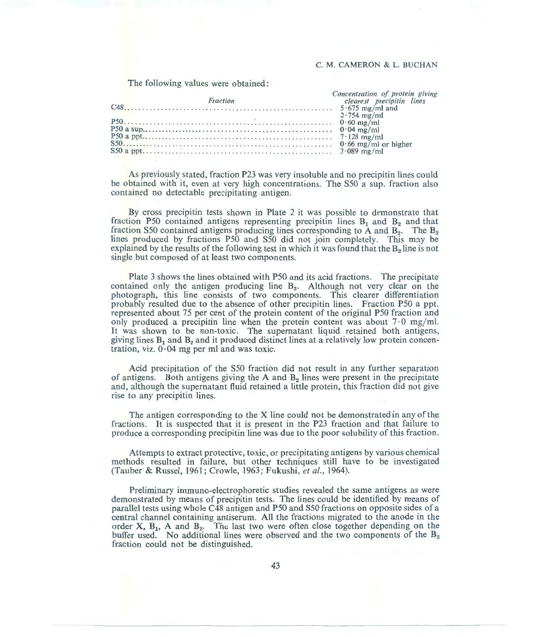# C. M. CAMERON & L. BUCHAN

### The following values were obtained:

|  | Concentration of protein giving |
|--|---------------------------------|
|  | clearest precipitin lines       |
|  |                                 |
|  |                                 |
|  |                                 |
|  |                                 |
|  |                                 |
|  |                                 |
|  |                                 |

As previously stated, fraction P23 was very insoluble and no precipitin lines could be obtained with it, even at very high concentrations. The S50 a sup. fraction also contained no detectable precipitating antigen.

By cross precipitin tests shown in Plate 2 it was possible to demonstrate that fraction P50 contained antigens representing precipitin lines  $B_1$  and  $B_2$  and that fraction S50 contained antigens producing lines corresponding to A and  $B_2$ . The  $B_2$ lines produced by fractions P50 and S50 did not join completely. This may be explained by the results of the following test in which it was found that the B<sub>2</sub> line is not single but composed of at least two components.

Plate 3 shows the lines obtained with P50 and its acid fractions. The precipitate contained only the antigen producing line B<sub>2</sub>. Although not very clear on the photograph, this line consists of two components. This clearer differentiation probably resulted due to the absence of other precipitin lines. Fraction P50 a ppt. represented about 75 per cent of the protein content of the original P50 fraction and only produced a precipitin line when the protein content was about  $7.0 \text{ mg/ml}$ . It was shown to be non-toxic. The supernatant liquid retained both antigens, giving lines  $B_1$  and  $B_2$  and it produced distinct lines at a relatively low protein concentration, viz.  $0.04$  mg per ml and was toxic.

Acid precipitation of the S50 fraction did not result in any further separation of antigens. Both antigens giving the A and  $B<sub>2</sub>$  lines were present in the precipitate and, although the supernatant fluid retained a little protein, this fraction did not give rise to any precipitin lines.

The antigen corresponding to the X line could not be demonstrated in any of the fractions. It is suspected that it is present in the P23 fraction and that failure to produce a corresponding precipitin line was due to the poor solubility of this fraction.

Attempts to extract protective, toxic, or precipitating antigens by various chemical methods resulted in failure, but other techniques still have to be investigated (Tauber & Russel, 1961; Crowle, 1963; Fukushi, *et al.,* 1964).

Preliminary immuno-electrophoretic studies revealed the same antigens as were demonstrated by means of precipitin tests. The lines could be identified by means of parallel tests using whole C48 antigen and P50 and S50 fractions on opposite sides of a central channel containing antiserum. All the fractions migrated to the anode in the order  $X$ ,  $B_1$ ,  $A$  and  $B_2$ . The last two were often close together depending on the buffer used. No additional lines were observed and the two components of the  $B_2$ fraction could not be distinguished.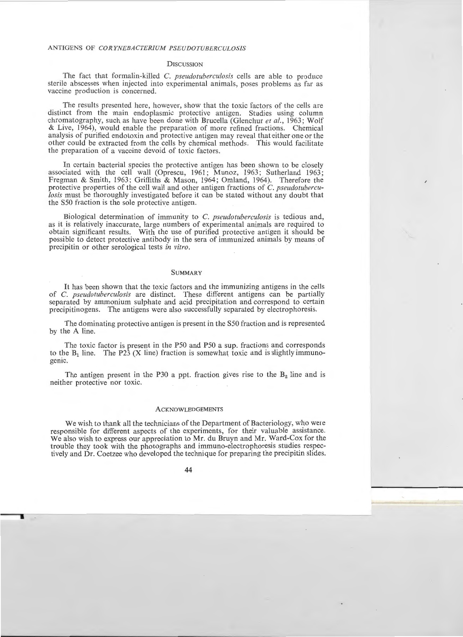## **DISCUSSION**

The fact that formalin-killed *C. pseudotuberculosis* cells are able to produce sterile abscesses when injected into experimental animals, poses problems as far as vaccine production is concerned.

The results presented here, however, show that the toxic factors of the cells are distinct from the main endoplasmic protective antigen. Studies using column chromatography, such as have been done with Brucella (Glenchur *et a!.,* 1963 ; Wolf & Live, 1964), would enable the preparation of more refined fractions. Chemical analysis of purified endotoxin and protective antigen may reveal that either one or the other could be extracted from the cells by chemical methods. This would facilitate the preparation of a vaccine devoid of toxic factors.

In certain bacterial species the protective antigen has been shown to be closely associated with the cell wall (Oprescu, 1961; Munoz, 1963; Sutherland 1963; Fregman & Smith, 1963; Griffiths & Mason, 1964; Omland, 1964). Therefore the protective properties of the cell wall and other antigen fractions of C. *pseudotuberculosis* must be thoroughly investigated before it can be stated without any doubt that the S50 fraction is the sole protective antigen.

Biological determination of immunity to C. *pseudotuberculosis* is tedious and, as it is relatively inaccurate, large numbers of experimental animals are required to obtain significant results. With the use of purified protective antigen it should be possible to detect protective antibody in the sera of immunized animals by means of precipitin or other serological tests *in vitro.* 

#### **SUMMARY**

It has been shown that the toxic factors and the immunizing antigens in the cells of C. *pseudotuberculosis* are distinct. These different antigens can be partially separated by ammonium sulphate and acid precipitation and correspond to certain precipitinogens. The antigens were also successfully separated by electrophoresis.

The dominating protective antigen is present in the SSO fraction and is represented by the A line.

The toxic factor is present in the P50 and P50 a sup. fractions and corresponds to the  $B_1$  line. The P23 (X line) fraction is somewhat toxic and is slightly immunogenic.

The antigen present in the P30 a ppt. fraction gives rise to the  $B_2$  line and is neither protective nor toxic.

## **ACKNOWLEDGEMENTS**

We wish to thank all the technicians of the Department of Bacteriology, who were responsible for different aspects of the experiments, for their valuable assistance. We also wish to express our appreciation to Mr. du Bruyn and Mr. Ward-Cox for the trouble they took with the photographs and immuno-electrophoresis studies respectively and Dr. Coetzee who developed the technique for preparing the precipitin slides.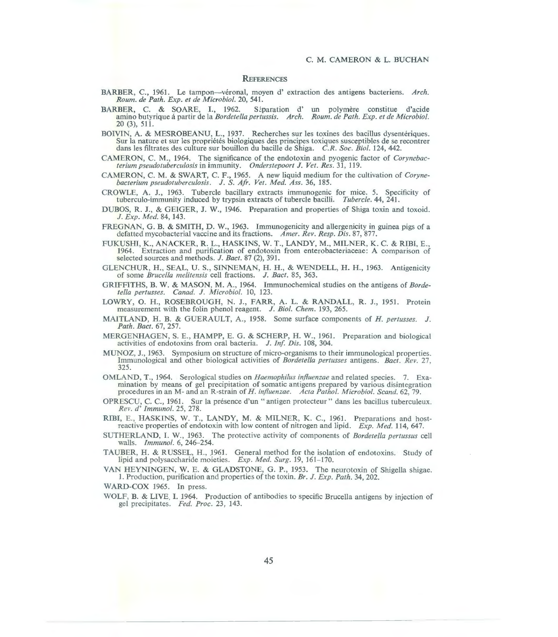#### **REFERENCES**

- BARBER, C., 1961. Le tampon-véronal, moyen d'extraction des antigens bacteriens. Arch. *Roum. de Path. Exp. et de Microbial.* 20, 541.
- BARBER, C. & SOARE, I., 1962. Séparation d' un polymère constitue d'acide amino butyrique á partir de la *Bordetella pertussis. Arch. Roum. de Path. Exp. et de Microbiol.* 20 (3), 511.
- BOIVIN, A. & MESROBEANU, L., 1937. Recherches sur Jes toxines des bacillus dysenteriques. Sur la nature et sur les propriétés biologiques des principes toxiques susceptibles de se recontrer dans les filtrates des culture sur bouillon du bacille de Shiga. C.R. Soc. Biol. 124, 442.
- CAMERON, C. M., 1964. The significance of the endotoxin and pyogenic factor of *Corynebacterium pseudotuberculosis* in immunity. *Onderstepoort* J. *Vet. Res.* 31, 119.
- CAMERON, C. M. & SWART, C. F., 1965. A new liquid medium for the cultivation of *Corynebacterium pseudotuberculosis.* J. *S. Afr. Vet. Med. Ass.* 36, 185.
- CROWLE, A. J., 1963. Tubercle bacillary extracts immunogenic for mice. 5. Specificity of tuberculo-immunity induced by trypsin extracts of tubercle bacilli. *Tubercle.* 44, 241.
- DUBOS, R. J., & GEIGER, J. W., 1946. Preparation and properties of Shiga toxin and toxoid. J. *Exp. Med.* 84, 143.
- FREGNAN, G. B. & SMITH, D. W., 1963. Immunogenicity and allergenicity in guinea pigs of a defatted mycobacterial vaccine and its fractions. *Amer. Rev. Resp. Dis.* 87, 877.
- FUKUSHI, K., ANACKER, R. L., HASKINS, W. T., LANDY, M., MILNER, K. C. & RIBI, E., 1964. Extraction and purification of endotoxin from enterobacteriaceae: A comparison of selected sources and methods. J. *Bact.* 87 (2), 391.
- GLENCHUR, H., SEAL, U. S., SINNEMAN, H. H., & WENDELL, H. H., 1963. Antigenicity of some *Brucella melitensis* cell fractions. J. *Bact.* 85, 363.
- GRIFFITHS, B. W. & MASON, M .A., 1964. Tmmunochemical studies on the antigens of *Bordeleila pertusses. Canad.* J. *Microbial.* 10, 123.
- LOWRY, O. H., ROSEBROUGH, N. J., FARR, A. L. & RANDALL, R. J., 1951. Protein measurement with the folin phenol reagent. *J. Biol. Chem.* 193, 265.
- MAITLAND, H. B. & GUERAULT, A., 1958. Some surface components of *H. pertusses.* J. *Path. Bact.* 67, 257.
- MERGENHAGEN, S. E., HAMPP, E. G. & SCHERP, H. W., 1961. Preparation and biological activities of endotoxins from oral bacteria. J. *In{ Dis.* 108, 304.
- MUNOZ, J., 1963. Symposium on structure of micro-organisms to their immunological properties. Immunological and other biological activities of *Bordetel/a pertusses* antigens. *Bact. Rev.* 27, 325.
- OMLAND, T., 1964. Serological studies on *Haemophilus influenzae* and related species. 7. Examination by means of gel precipitation of somatic antigens prepared by various disintegration procedures in an M- and an R-strain of *H. influenzae. Acta Pathol. Microbiol. Scand.* 62, 79.
- OPRESCU, C. C., 1961. Sur Ia presence d'un "antigen protecteur" dans les bacillus tuberculeux. *Rev. d' fmmunol.* 25, 278.
- RIBI, E., HASKINS, W. T., LANDY, M. & MILNER, K. C., 1961. Preparations and host-<br>reactive properties of endotoxin with low content of nitrogen and lipid. *Exp. Med.* 114, 647.
- SUTHERLAND, I. W., 1963. The protective activity of components of *Bordetella pertussus* cell walls. *Immunol.* 6, 246-254.
- TAUBER, H. & RUSSEL, H., 1961. General method for the isolation of endotoxins. Study of lipid and polysaccharide moieties. *Exp. Med. Surg.* 19, 161–170.
- VAN HEYNlNGEN, W. E. & GLADSTONE, G . P., 1953. The neurotoxin of Shigella shigae. 1. Production, purification and properties of the toxin . *Br.* J. *Exp. Path.* 34, 202.

WARD-COX 1965. In press.

WOLF, B. & LIVE, I. 1964. Production of antibodies to specific Brucella antigens by injection of gel precipitates. *Fed. Proc.* 23, 143.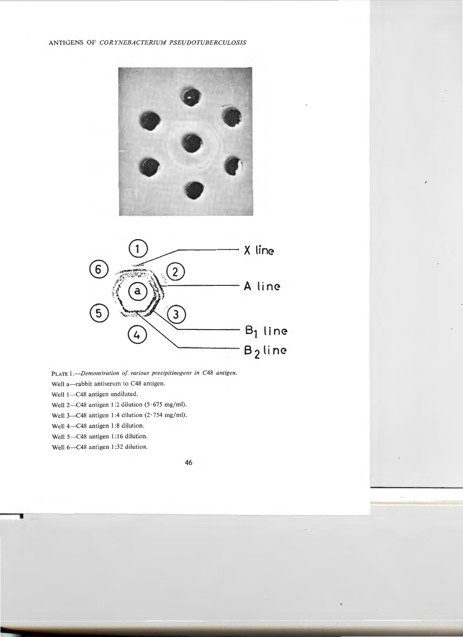



PLATE *].-Demonstration of various precipitinogens in* C48 *antigen.* 

- Well a-rabbit antiserum to C48 antigen.
- Well 1-C48 antigen undiluted.
- Well 2-C48 antigen 1:2 dilution  $(5.675 \text{ mg/ml})$ .
- Well 3- $C$ 48 antigen 1:4 dilution (2 $\cdot$ 754 mg/ml).
- Well 4-C48 antigen 1:8 dilution.
- Well 5-C48 antigen 1:16 dilution.
- Well 6-C48 antigen 1:32 dilution.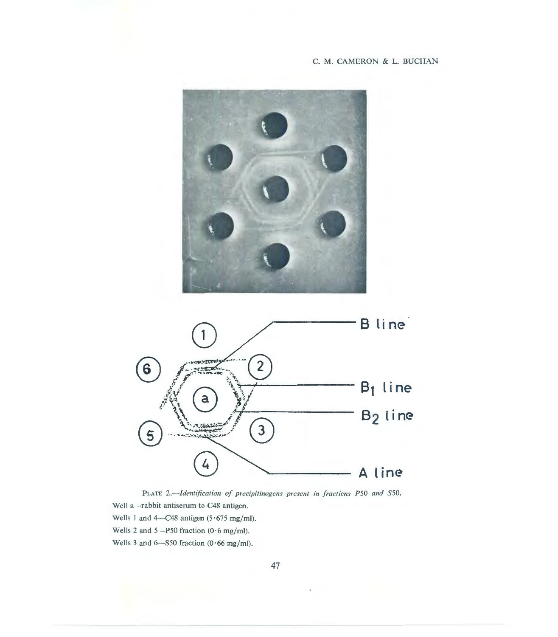# C. M. CAMERON & L. BUCHAN





PLATE *2.-Identification of precipitinogens present in fractions P50 and* S50. Well a-rabbit antiserum to C48 antigen. Wells 1 and 4- $C48$  antigen (5 $\cdot$  675 mg/ml). Wells 2 and 5--P50 fraction  $(0.6 \text{ mg/ml})$ . Wells 3 and 6-S50 fraction  $(0.66 \text{ mg/ml})$ .

47